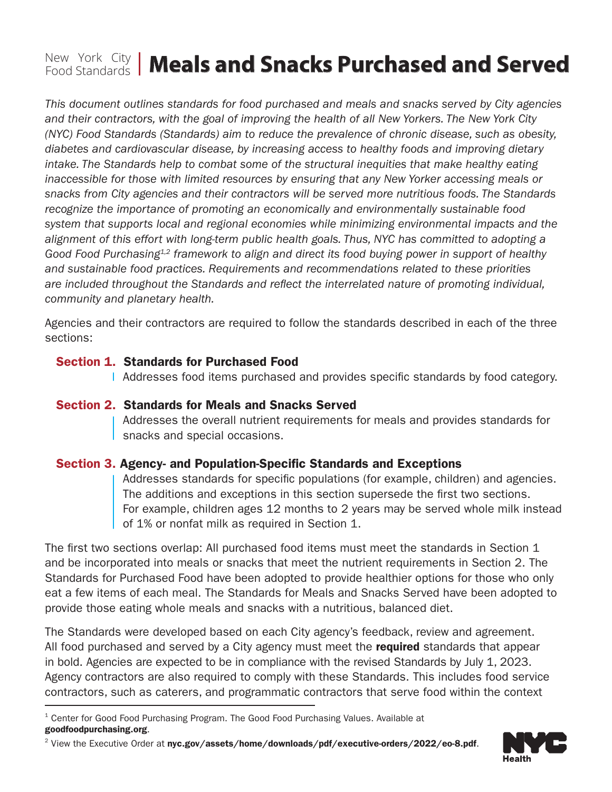# **New York City | Meals and Snacks Purchased and Served**

 *community and planetary health. This document outlines standards for food purchased and meals and snacks served by City agencies and their contractors, with the goal of improving the health of all New Yorkers. The New York City (NYC) Food Standards (Standards) aim to reduce the prevalence of chronic disease, such as obesity, diabetes and cardiovascular disease, by increasing access to healthy foods and improving dietary*  intake. The Standards help to combat some of the structural inequities that make healthy eating *inaccessible for those with limited resources by ensuring that any New Yorker accessing meals or snacks from City agencies and their contractors will be served more nutritious foods. The Standards recognize the importance of promoting an economically and environmentally sustainable food system that supports local and regional economies while minimizing environmental impacts and the alignment of this effort with long-term public health goals. Thus, NYC has committed to adopting a Good Food Purchasing1,2 framework to align and direct its food buying power in support of healthy and sustainable food practices. Requirements and recommendations related to these priorities are included throughout the Standards and refect the interrelated nature of promoting individual,* 

Agencies and their contractors are required to follow the standards described in each of the three sections:

#### Section 1. Standards for Purchased Food

Addresses food items purchased and provides specifc standards by food category.

#### Section 2. Standards for Meals and Snacks Served

Addresses the overall nutrient requirements for meals and provides standards for snacks and special occasions.

#### Section 3. Agency- and Population-Specific Standards and Exceptions

Addresses standards for specifc populations (for example, children) and agencies. The additions and exceptions in this section supersede the first two sections. For example, children ages 12 months to 2 years may be served whole milk instead of 1% or nonfat milk as required in Section 1.

The first two sections overlap: All purchased food items must meet the standards in Section 1 and be incorporated into meals or snacks that meet the nutrient requirements in Section 2. The Standards for Purchased Food have been adopted to provide healthier options for those who only eat a few items of each meal. The Standards for Meals and Snacks Served have been adopted to provide those eating whole meals and snacks with a nutritious, balanced diet.

The Standards were developed based on each City agency's feedback, review and agreement. All food purchased and served by a City agency must meet the **required** standards that appear in bold. Agencies are expected to be in compliance with the revised Standards by July 1, 2023. Agency contractors are also required to comply with these Standards. This includes food service contractors, such as caterers, and programmatic contractors that serve food within the context

<sup>&</sup>lt;sup>2</sup> View the Executive Order at [nyc.gov/assets/home/downloads/pdf/executive-orders/2022/eo-8.pdf](https://www1.nyc.gov/assets/home/downloads/pdf/executive-orders/2022/eo-8.pdf).



<sup>&</sup>lt;sup>1</sup> Center for Good Food Purchasing Program. The Good Food Purchasing Values. Available at [goodfoodpurchasing.org](http://goodfoodpurchasing.org).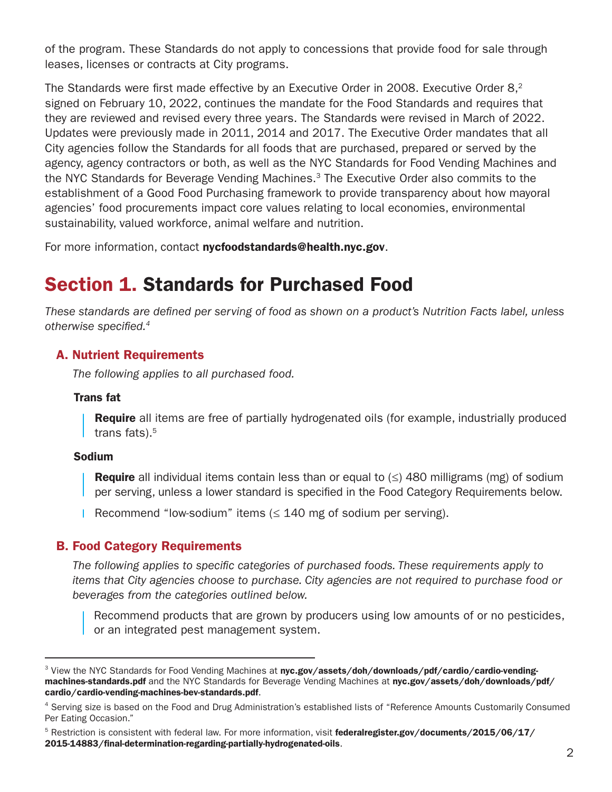of the program. These Standards do not apply to concessions that provide food for sale through leases, licenses or contracts at City programs.

The Standards were first made effective by an Executive Order in 2008. Executive Order  $8<sup>2</sup>$ signed on February 10, 2022, continues the mandate for the Food Standards and requires that they are reviewed and revised every three years. The Standards were revised in March of 2022. Updates were previously made in 2011, 2014 and 2017. The Executive Order mandates that all City agencies follow the Standards for all foods that are purchased, prepared or served by the agency, agency contractors or both, as well as the NYC Standards for Food Vending Machines and the NYC Standards for Beverage Vending Machines.<sup>3</sup> The Executive Order also commits to the establishment of a Good Food Purchasing framework to provide transparency about how mayoral agencies' food procurements impact core values relating to local economies, environmental sustainability, valued workforce, animal welfare and nutrition.

For more information, contact [nycfoodstandards@health.nyc.gov](mailto:nycfoodstandards@health.nyc.gov).

### Section 1. Standards for Purchased Food

*These standards are defned per serving of food as shown on a product's Nutrition Facts label, unless otherwise specifed.4* 

#### A. Nutrient Requirements

*The following applies to all purchased food.*

#### Trans fat

**Require** all items are free of partially hydrogenated oils (for example, industrially produced trans fats). $5$ 

#### Sodium

**Require** all individual items contain less than or equal to  $(\le)$  480 milligrams (mg) of sodium per serving, unless a lower standard is specifed in the Food Category Requirements below.

Recommend "low-sodium" items  $( \leq 140 \text{ mg of sodium per serving}).$ 

#### B. Food Category Requirements

*The following applies to specifc categories of purchased foods. These requirements apply to items that City agencies choose to purchase. City agencies are not required to purchase food or beverages from the categories outlined below.* 

Recommend products that are grown by producers using low amounts of or no pesticides, or an integrated pest management system.

<sup>&</sup>lt;sup>3</sup> View the NYC Standards for Food Vending Machines at [nyc.gov/assets/doh/downloads/pdf/cardio/cardio-vending](http://nyc.gov/assets/doh/downloads/pdf/cardio/cardio-vending-machines-standards.pdf)[machines-standards.pdf](http://nyc.gov/assets/doh/downloads/pdf/cardio/cardio-vending-machines-standards.pdf) and the NYC Standards for Beverage Vending Machines at [nyc.gov/assets/doh/downloads/pdf/](http://nyc.gov/assets/doh/downloads/pdf/cardio/cardio-vending-machines-bev-standards.pdf) [cardio/cardio-vending-machines-bev-standards.pdf](http://nyc.gov/assets/doh/downloads/pdf/cardio/cardio-vending-machines-bev-standards.pdf).

<sup>&</sup>lt;sup>4</sup> Serving size is based on the Food and Drug Administration's established lists of "Reference Amounts Customarily Consumed Per Eating Occasion."

<sup>&</sup>lt;sup>5</sup> Restriction is consistent with federal law. For more information, visit federalregister.gov/documents/2015/06/17/ [2015-14883/fnal-determination-regarding-partially-hydrogenated-oils](http://federalregister.gov/documents/2015/06/17/2015-14883/final-determination-regarding-partially-hydrogen).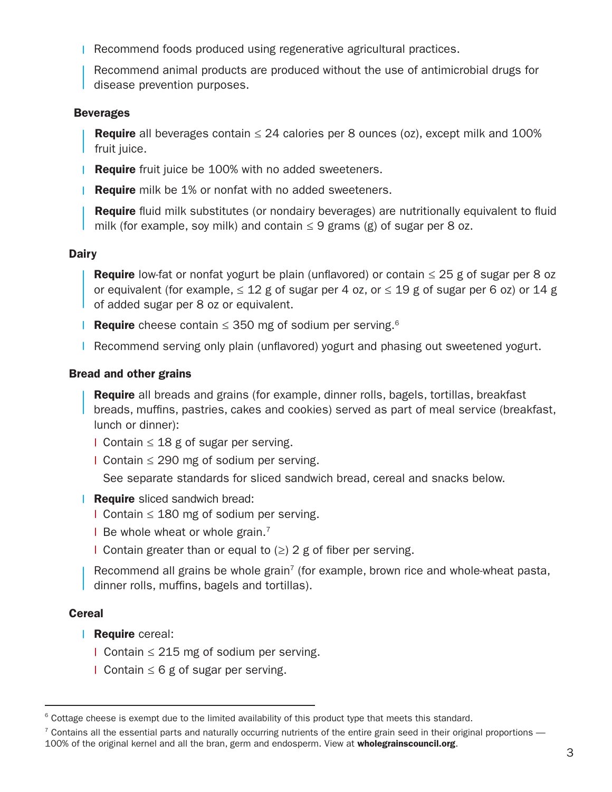Recommend foods produced using regenerative agricultural practices.

Recommend animal products are produced without the use of antimicrobial drugs for disease prevention purposes.

#### Beverages

**Require** all beverages contain  $\leq$  24 calories per 8 ounces (oz), except milk and 100% fruit juice.

- **Require** fruit juice be 100% with no added sweeteners.
- **Require** milk be 1% or nonfat with no added sweeteners.

**Require** fluid milk substitutes (or nondairy beverages) are nutritionally equivalent to fluid milk (for example, soy milk) and contain  $\leq$  9 grams (g) of sugar per 8 oz.

#### **Dairy**

**Require** low-fat or nonfat yogurt be plain (unflavored) or contain  $\leq$  25 g of sugar per 8 oz or equivalent (for example,  $\leq 12$  g of sugar per 4 oz, or  $\leq 19$  g of sugar per 6 oz) or 14 g of added sugar per 8 oz or equivalent.

- Require cheese contain  $\leq$  350 mg of sodium per serving.<sup>6</sup>
- **Recommend serving only plain (unflavored) yogurt and phasing out sweetened yogurt.**

#### Bread and other grains

Require all breads and grains (for example, dinner rolls, bagels, tortillas, breakfast breads, muffins, pastries, cakes and cookies) served as part of meal service (breakfast, lunch or dinner):

- l Contain ≤ 18 g of sugar per serving.
- Contain ≤ 290 mg of sodium per serving.

See separate standards for sliced sandwich bread, cereal and snacks below.

#### **Require** sliced sandwich bread:

Contain ≤ 180 mg of sodium per serving.

 $\blacksquare$  Be whole wheat or whole grain.<sup>7</sup>

I Contain greater than or equal to  $(≥)$  2 g of fiber per serving.

Recommend all grains be whole grain<sup>7</sup> (for example, brown rice and whole-wheat pasta, dinner rolls, muffins, bagels and tortillas).

#### **Cereal**

- Require cereal:
	- Contain ≤ 215 mg of sodium per serving.
	- $\blacksquare$  Contain ≤ 6 g of sugar per serving.

<sup>&</sup>lt;sup>6</sup> Cottage cheese is exempt due to the limited availability of this product type that meets this standard.

 $^7$  Contains all the essential parts and naturally occurring nutrients of the entire grain seed in their original proportions  $-$ 

<sup>100%</sup> of the original kernel and all the bran, germ and endosperm. View at [wholegrainscouncil.org](http://wholegrainscouncil.org).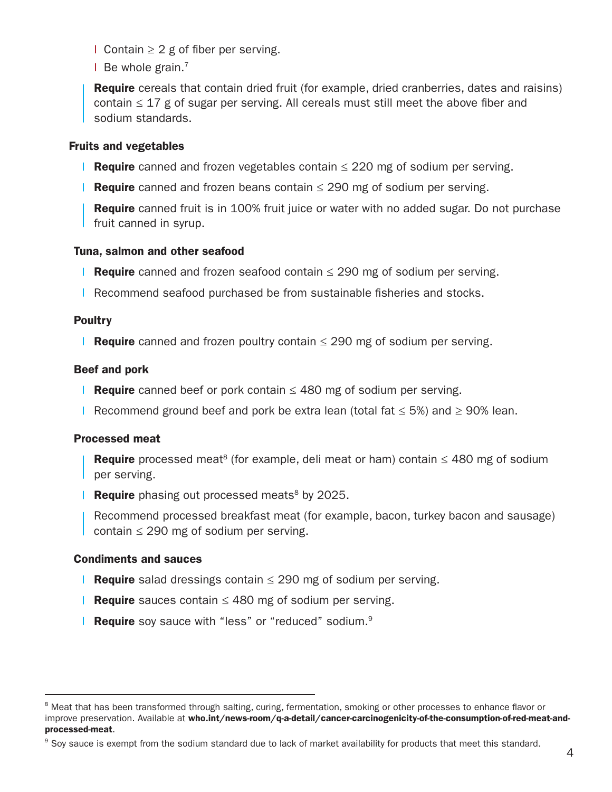$\blacksquare$  Contain ≥ 2 g of fiber per serving.

 $\blacksquare$  Be whole grain.<sup>7</sup>

**Require** cereals that contain dried fruit (for example, dried cranberries, dates and raisins) contain  $\leq 17$  g of sugar per serving. All cereals must still meet the above fiber and sodium standards.

#### Fruits and vegetables

- Require canned and frozen vegetables contain  $\leq$  220 mg of sodium per serving.
- Require canned and frozen beans contain  $\leq$  290 mg of sodium per serving.

**Require** canned fruit is in 100% fruit juice or water with no added sugar. Do not purchase fruit canned in syrup.

#### Tuna, salmon and other seafood

- Require canned and frozen seafood contain  $\leq$  290 mg of sodium per serving.
- **Recommend seafood purchased be from sustainable fisheries and stocks.**

#### **Poultry**

Require canned and frozen poultry contain  $\leq$  290 mg of sodium per serving.

#### Beef and pork

- Require canned beef or pork contain  $\leq$  480 mg of sodium per serving.
- Recommend ground beef and pork be extra lean (total fat  $\leq$  5%) and  $\geq$  90% lean.

#### Processed meat

**Require** processed meat<sup>8</sup> (for example, deli meat or ham) contain  $\leq$  480 mg of sodium per serving.

**Require** phasing out processed meats<sup>8</sup> by 2025.

Recommend processed breakfast meat (for example, bacon, turkey bacon and sausage) contain  $\leq$  290 mg of sodium per serving.

#### Condiments and sauces

- **Require** salad dressings contain  $\leq$  290 mg of sodium per serving.
- Require sauces contain  $\leq$  480 mg of sodium per serving.
- **Require** soy sauce with "less" or "reduced" sodium.<sup>9</sup>

<sup>&</sup>lt;sup>8</sup> Meat that has been transformed through salting, curing, fermentation, smoking or other processes to enhance flavor or improve preservation. Available at [who.int/news-room/q-a-detail/cancer-carcinogenicity-of-the-consumption-of-red-meat-and](https://www.who.int/news-room/q-a-detail/cancer-carcinogenicity-of-the-consumption-of-red-meat-and-processed-meat)[processed-meat](https://www.who.int/news-room/q-a-detail/cancer-carcinogenicity-of-the-consumption-of-red-meat-and-processed-meat).

<sup>&</sup>lt;sup>9</sup> Soy sauce is exempt from the sodium standard due to lack of market availability for products that meet this standard.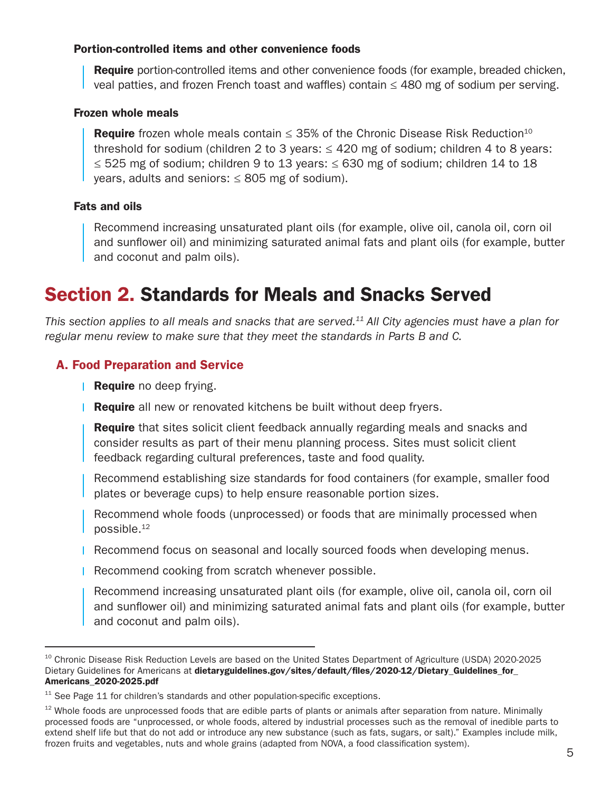#### Portion-controlled items and other convenience foods

**Require** portion-controlled items and other convenience foods (for example, breaded chicken, veal patties, and frozen French toast and waffles) contain  $\leq$  480 mg of sodium per serving.

#### Frozen whole meals

Require frozen whole meals contain  $\leq$  35% of the Chronic Disease Risk Reduction<sup>10</sup> threshold for sodium (children 2 to 3 years:  $\leq$  420 mg of sodium; children 4 to 8 years: ≤ 525 mg of sodium; children 9 to 13 years: ≤ 630 mg of sodium; children 14 to 18 years, adults and seniors:  $\leq 805$  mg of sodium).

#### Fats and oils

 Recommend increasing unsaturated plant oils (for example, olive oil, canola oil, corn oil and sunflower oil) and minimizing saturated animal fats and plant oils (for example, butter and coconut and palm oils).

### Section 2. Standards for Meals and Snacks Served

*This section applies to all meals and snacks that are [served.11](https://served.11) All City agencies must have a plan for regular menu review to make sure that they meet the standards in Parts B and C.* 

#### A. Food Preparation and Service

- Require no deep frying.
- **Require** all new or renovated kitchens be built without deep fryers.

**Require** that sites solicit client feedback annually regarding meals and snacks and consider results as part of their menu planning process. Sites must solicit client feedback regarding cultural preferences, taste and food quality.

Recommend establishing size standards for food containers (for example, smaller food plates or beverage cups) to help ensure reasonable portion sizes.

Recommend whole foods (unprocessed) or foods that are minimally processed when [possible.12](https://possible.12)

- Recommend focus on seasonal and locally sourced foods when developing menus.
- **Recommend cooking from scratch whenever possible.**

Recommend increasing unsaturated plant oils (for example, olive oil, canola oil, corn oil and sunfower oil) and minimizing saturated animal fats and plant oils (for example, butter and coconut and palm oils).

<sup>&</sup>lt;sup>10</sup> Chronic Disease Risk Reduction Levels are based on the United States Department of Agriculture (USDA) 2020-2025 Dietary Guidelines for Americans at dietaryguidelines.gov/sites/default/files/2020-12/Dietary Guidelines for [Americans\\_2020-2025.pdf](https://dietaryguidelines.gov/sites/default/files/2021-03/Dietary_Guidelines_for_Americans-2020-2025.pdf)

 $11$  See Page 11 for children's standards and other population-specific exceptions.

 $12$  Whole foods are unprocessed foods that are edible parts of plants or animals after separation from nature. Minimally processed foods are "unprocessed, or whole foods, altered by industrial processes such as the removal of inedible parts to extend shelf life but that do not add or introduce any new substance (such as fats, sugars, or salt)." Examples include milk, frozen fruits and vegetables, nuts and whole grains (adapted from NOVA, a food classifcation system).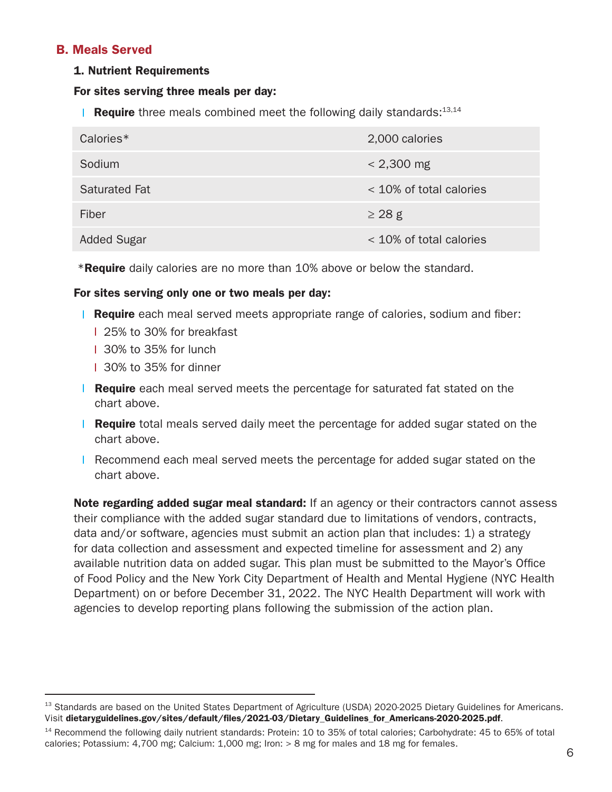#### B. Meals Served

#### 1. Nutrient Requirements

#### For sites serving three meals per day:

**Require** three meals combined meet the following daily standards:<sup>13,14</sup>

| Calories*            | 2,000 calories            |
|----------------------|---------------------------|
| Sodium               | $< 2,300 \text{ mg}$      |
| <b>Saturated Fat</b> | $<$ 10% of total calories |
| Fiber                | $\geq$ 28 g               |
| <b>Added Sugar</b>   | $<$ 10% of total calories |

**\*Require** daily calories are no more than 10% above or below the standard.

#### For sites serving only one or two meals per day:

- **Require** each meal served meets appropriate range of calories, sodium and fiber:
	- 25% to 30% for breakfast
	- 30% to 35% for lunch
	- 30% to 35% for dinner
- **Require** each meal served meets the percentage for saturated fat stated on the chart above.
- L. **Require** total meals served daily meet the percentage for added sugar stated on the chart above.
- **Recommend each meal served meets the percentage for added sugar stated on the** chart above.

**Note regarding added sugar meal standard:** If an agency or their contractors cannot assess their compliance with the added sugar standard due to limitations of vendors, contracts, data and/or software, agencies must submit an action plan that includes: 1) a strategy for data collection and assessment and expected timeline for assessment and 2) any available nutrition data on added sugar. This plan must be submitted to the Mayor's Office of Food Policy and the New York City Department of Health and Mental Hygiene (NYC Health Department) on or before December 31, 2022. The NYC Health Department will work with agencies to develop reporting plans following the submission of the action plan.

<sup>&</sup>lt;sup>13</sup> Standards are based on the United States Department of Agriculture (USDA) 2020-2025 Dietary Guidelines for Americans. Visit dietaryguidelines.gov/sites/default/files/2021-03/Dietary\_Guidelines\_for\_Americans-2020-2025.pdf.

<sup>&</sup>lt;sup>14</sup> Recommend the following daily nutrient standards: Protein: 10 to 35% of total calories; Carbohydrate: 45 to 65% of total calories; Potassium: 4,700 mg; Calcium: 1,000 mg; Iron: > 8 mg for males and 18 mg for females.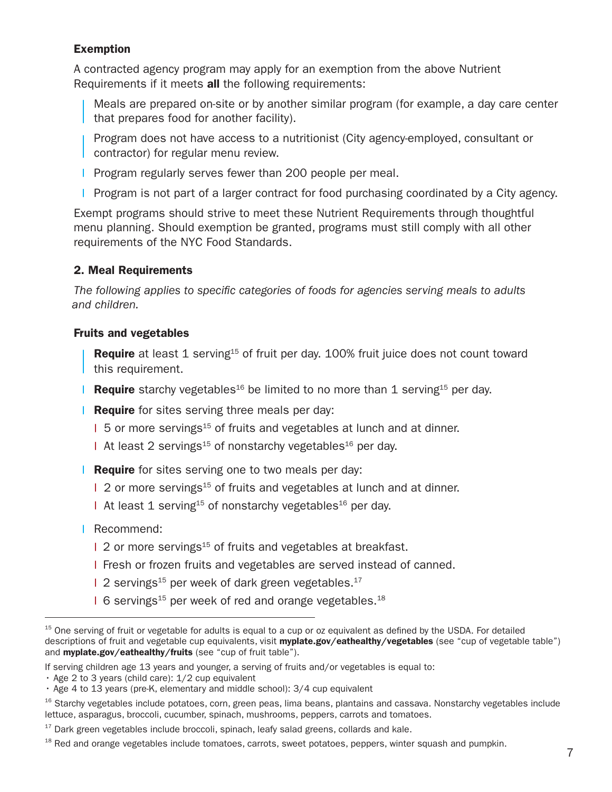#### Exemption

A contracted agency program may apply for an exemption from the above Nutrient Requirements if it meets all the following requirements:

- Meals are prepared on-site or by another similar program (for example, a day care center that prepares food for another facility).
- Program does not have access to a nutritionist (City agency-employed, consultant or contractor) for regular menu review.
- **Program regularly serves fewer than 200 people per meal.**
- **Program is not part of a larger contract for food purchasing coordinated by a City agency.**

Exempt programs should strive to meet these Nutrient Requirements through thoughtful menu planning. Should exemption be granted, programs must still comply with all other requirements of the NYC Food Standards.

#### 2. Meal Requirements

*The following applies to specifc categories of foods for agencies serving meals to adults and children.*

#### Fruits and vegetables

**Require** at least 1 serving<sup>15</sup> of fruit per day. 100% fruit juice does not count toward this requirement.

- **Require** starchy vegetables<sup>16</sup> be limited to no more than 1 serving<sup>15</sup> per day.
- **Require** for sites serving three meals per day:
	- 1 5 or more servings<sup>15</sup> of fruits and vegetables at lunch and at dinner.
	- At least 2 servings<sup>15</sup> of nonstarchy vegetables<sup>16</sup> per day.
- **Require** for sites serving one to two meals per day:
	- 1 2 or more servings<sup>15</sup> of fruits and vegetables at lunch and at dinner.
	- At least 1 serving<sup>15</sup> of nonstarchy vegetables<sup>16</sup> per day.
- **Recommend:** 
	- 1 2 or more servings<sup>15</sup> of fruits and vegetables at breakfast.
	- Fresh or frozen fruits and vegetables are served instead of canned.
	- $12$  servings<sup>15</sup> per week of dark green vegetables.<sup>17</sup>
	- 1 6 servings<sup>15</sup> per week of red and orange vegetables.<sup>18</sup>

If serving children age 13 years and younger, a serving of fruits and/or vegetables is equal to:

 $15$  One serving of fruit or vegetable for adults is equal to a cup or oz equivalent as defined by the USDA. For detailed descriptions of fruit and vegetable cup equivalents, visit [myplate.gov/eathealthy/vegetables](http://myplate.gov/eathealthy/vegetables) (see "cup of vegetable table") and [myplate.gov/eathealthy/fruits](http://myplate.gov/eathealthy/fruits) (see "cup of fruit table").

<sup>•</sup> Age 2 to 3 years (child care): 1/2 cup equivalent

<sup>•</sup> Age 4 to 13 years (pre-K, elementary and middle school): 3/4 cup equivalent

<sup>&</sup>lt;sup>16</sup> Starchy vegetables include potatoes, corn, green peas, lima beans, plantains and cassava. Nonstarchy vegetables include lettuce, asparagus, broccoli, cucumber, spinach, mushrooms, peppers, carrots and tomatoes.

 $17$  Dark green vegetables include broccoli, spinach, leafy salad greens, collards and kale.

 $18$  Red and orange vegetables include tomatoes, carrots, sweet potatoes, peppers, winter squash and pumpkin.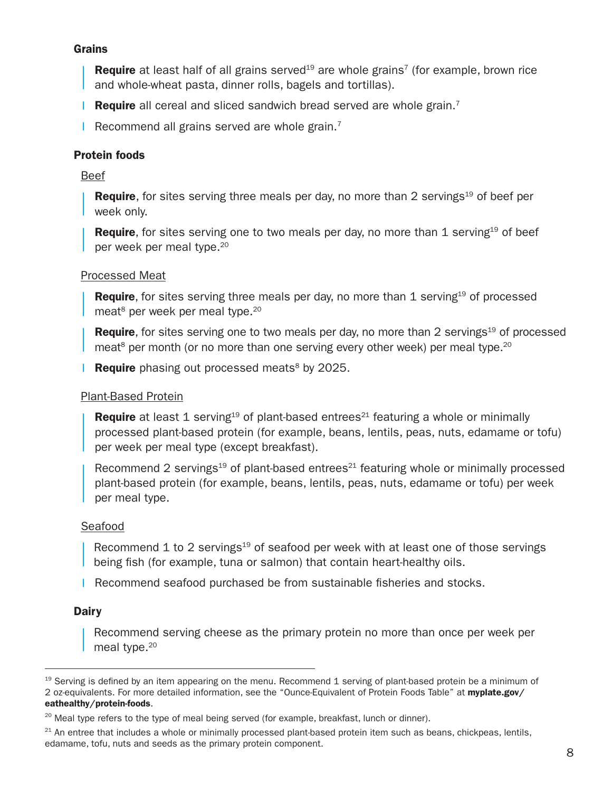#### Grains

**Require** at least half of all grains served<sup>19</sup> are whole grains<sup>7</sup> (for example, brown rice and whole-wheat pasta, dinner rolls, bagels and tortillas).

**Require** all cereal and sliced sandwich bread served are whole grain.<sup>7</sup>

Recommend all grains served are whole grain.<sup>7</sup>

#### Protein foods

Beef

**Require**, for sites serving three meals per day, no more than 2 servings<sup>19</sup> of beef per week only.

**Require**, for sites serving one to two meals per day, no more than 1 serving<sup>19</sup> of beef per week per meal type.20

#### Processed Meat

**Require**, for sites serving three meals per day, no more than 1 serving<sup>19</sup> of processed meat<sup>8</sup> per week per meal type.<sup>20</sup>

**Require**, for sites serving one to two meals per day, no more than 2 servings<sup>19</sup> of processed meat<sup>8</sup> per month (or no more than one serving every other week) per meal type.<sup>20</sup>

**Require** phasing out processed meats<sup>8</sup> by 2025.

#### Plant-Based Protein

**Require** at least 1 serving<sup>19</sup> of plant-based entrees<sup>21</sup> featuring a whole or minimally processed plant-based protein (for example, beans, lentils, peas, nuts, edamame or tofu) per week per meal type (except breakfast).

Recommend 2 servings<sup>19</sup> of plant-based entrees<sup>21</sup> featuring whole or minimally processed plant-based protein (for example, beans, lentils, peas, nuts, edamame or tofu) per week per meal type.

#### Seafood

Recommend 1 to 2 servings<sup>19</sup> of seafood per week with at least one of those servings being fish (for example, tuna or salmon) that contain heart-healthy oils.

**Recommend seafood purchased be from sustainable fisheries and stocks.** 

#### **Dairy**

Recommend serving cheese as the primary protein no more than once per week per meal type.<sup>20</sup>

 $19$  Serving is defined by an item appearing on the menu. Recommend 1 serving of plant-based protein be a minimum of 2 oz-equivalents. For more detailed information, see the "Ounce-Equivalent of Protein Foods Table" at [myplate.gov/](http://myplate.gov/eathealthy/protein-foods) [eathealthy/protein-foods](http://myplate.gov/eathealthy/protein-foods).

<sup>&</sup>lt;sup>20</sup> Meal type refers to the type of meal being served (for example, breakfast, lunch or dinner).

 $21$  An entree that includes a whole or minimally processed plant-based protein item such as beans, chickpeas, lentils, edamame, tofu, nuts and seeds as the primary protein component.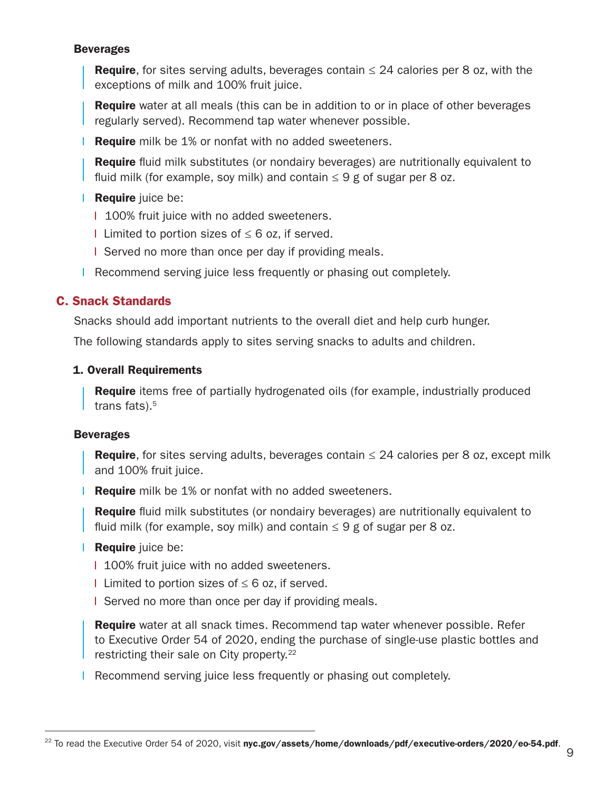#### Beverages

**Require**, for sites serving adults, beverages contain  $\leq$  24 calories per 8 oz, with the exceptions of milk and 100% fruit juice.

**Require** water at all meals (this can be in addition to or in place of other beverages regularly served). Recommend tap water whenever possible.

**Require** milk be 1% or nonfat with no added sweeteners.

**Require** fluid milk substitutes (or nondairy beverages) are nutritionally equivalent to fluid milk (for example, soy milk) and contain  $\leq 9$  g of sugar per 8 oz.

#### L. Require juice be:

| 100% fruit juice with no added sweeteners.

**Limited to portion sizes of ≤ 6 oz, if served.** 

I Served no more than once per day if providing meals.

**Recommend serving juice less frequently or phasing out completely.** 

#### C. Snack Standards

Snacks should add important nutrients to the overall diet and help curb hunger.

The following standards apply to sites serving snacks to adults and children.

#### 1. Overall Requirements

**Require** items free of partially hydrogenated oils (for example, industrially produced trans fats).<sup>5</sup>

#### Beverages

**Require**, for sites serving adults, beverages contain  $\leq$  24 calories per 8 oz, except milk and 100% fruit juice.

**Require** milk be 1% or nonfat with no added sweeteners.

**Require** fluid milk substitutes (or nondairy beverages) are nutritionally equivalent to fluid milk (for example, soy milk) and contain  $\leq 9$  g of sugar per 8 oz.

#### **Require** juice be:

1 100% fruit juice with no added sweeteners.

- **Limited to portion sizes of ≤ 6 oz, if served.**
- I Served no more than once per day if providing meals.

Require water at all snack times. Recommend tap water whenever possible. Refer to Executive Order 54 of 2020, ending the purchase of single-use plastic bottles and restricting their sale on City [property.22](https://property.22) 

**Recommend serving juice less frequently or phasing out completely.** 

<sup>&</sup>lt;sup>22</sup> To read the Executive Order 54 of 2020, visit [nyc.gov/assets/home/downloads/pdf/executive-orders/2020/eo-54.pdf](https://www1.nyc.gov/assets/home/downloads/pdf/executive-orders/2020/eo-54.pdf).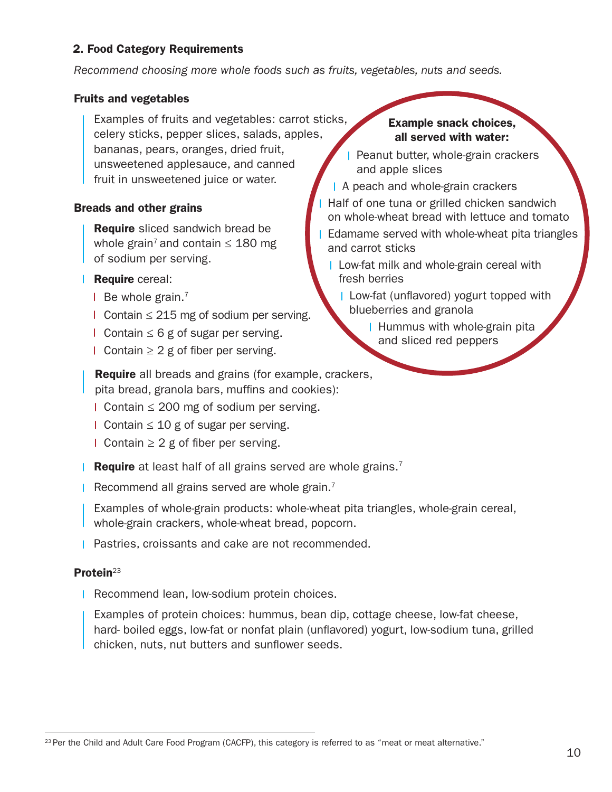#### 2. Food Category Requirements

*Recommend choosing more whole foods such as fruits, vegetables, nuts and seeds.* 

#### Fruits and vegetables

celery sticks, pepper slices, salads, apples,<br>bananas, pears, oranges, dried fruit,<br>unsweetened applesauce, and canned bananas, pears, oranges, dried fruit, Examples of fruits and vegetables: carrot sticks, fruit in unsweetened juice or water.

#### Breads and other grains

Require sliced sandwich bread be whole grain<sup>7</sup> and contain  $\leq$  180 mg of sodium per serving.

- **Require** cereal:
	- $\blacksquare$  Be whole grain.<sup>7</sup>
	- Contain ≤ 215 mg of sodium per serving.
	- $\blacksquare$  Contain ≤ 6 g of sugar per serving.
	- $\blacksquare$  Contain ≥ 2 g of fiber per serving.

Example snack choices, all served with water:

- Peanut butter, whole-grain crackers and apple slices
- A peach and whole-grain crackers
- Half of one tuna or grilled chicken sandwich on whole-wheat bread with lettuce and tomato
- Edamame served with whole-wheat pita triangles and carrot sticks
	- Low-fat milk and whole-grain cereal with fresh berries
		- **Low-fat (unflavored) yogurt topped with** blueberries and granola
			- **Hummus with whole-grain pitally** and sliced red peppers

**Require** all breads and grains (for example, crackers,

- pita bread, granola bars, muffins and cookies):<br>I Contain ≤ 200 mg of sodium per serving.
- Contain ≤ 10 g of sugar per serving.
- $\Box$  Contain ≥ 2 g of fiber per serving.
- **Require** at least half of all grains served are whole grains.<sup>7</sup>
- Recommend all grains served are whole grain.<sup>7</sup>

 Examples of whole-grain products: whole-wheat pita triangles, whole-grain cereal, whole-grain crackers, whole-wheat bread, popcorn.

l

**Pastries, croissants and cake are not recommended.** 

#### Protein<sup>23</sup>

Recommend lean, low-sodium protein choices.

Examples of protein choices: hummus, bean dip, cottage cheese, low-fat cheese, hard- boiled eggs, low-fat or nonfat plain (unfavored) yogurt, low-sodium tuna, grilled chicken, nuts, nut butters and sunflower seeds.

 $23$  Per the Child and Adult Care Food Program (CACFP), this category is referred to as "meat or meat alternative."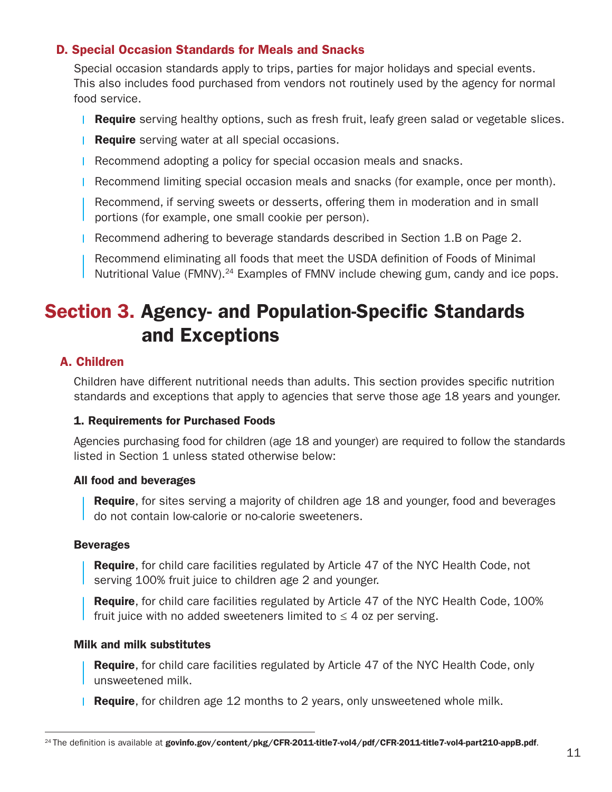### D. Special Occasion Standards for Meals and Snacks

Special occasion standards apply to trips, parties for major holidays and special events. This also includes food purchased from vendors not routinely used by the agency for normal food service.

- **Require** serving healthy options, such as fresh fruit, leafy green salad or vegetable slices.
- **Require** serving water at all special occasions.
- Recommend adopting a policy for special occasion meals and snacks.
- Recommend limiting special occasion meals and snacks (for example, once per month).

 Recommend, if serving sweets or desserts, offering them in moderation and in small portions (for example, one small cookie per person).

Recommend adhering to beverage standards described in Section 1.B on Page 2.

 Recommend eliminating all foods that meet the USDA defnition of Foods of Minimal Nutritional Value [\(FMNV\).24](https://FMNV).24) Examples of FMNV include chewing gum, candy and ice pops.

## **Section 3. Agency- and Population-Specific Standards** and Exceptions

### A. Children

 Children have different nutritional needs than adults. This section provides specifc nutrition standards and exceptions that apply to agencies that serve those age 18 years and younger.

#### 1. Requirements for Purchased Foods

 Agencies purchasing food for children (age 18 and younger) are required to follow the standards listed in Section 1 unless stated otherwise below:

#### All food and beverages

**Require**, for sites serving a majority of children age 18 and younger, food and beverages do not contain low-calorie or no-calorie sweeteners.

#### Beverages

**Require**, for child care facilities regulated by Article 47 of the NYC Health Code, not serving 100% fruit juice to children age 2 and younger.

Require, for child care facilities regulated by Article 47 of the NYC Health Code, 100% fruit juice with no added sweeteners limited to  $\leq$  4 oz per serving.

#### Milk and milk substitutes

**Require**, for child care facilities regulated by Article 47 of the NYC Health Code, only unsweetened milk.

**Require**, for children age 12 months to 2 years, only unsweetened whole milk.

<sup>&</sup>lt;sup>24</sup> The definition is available at [govinfo.gov/content/pkg/CFR-2011-title7-vol4/pdf/CFR-2011-title7-vol4-part210-appB.pdf](http://govinfo.gov/content/pkg/CFR-2011-title7-vol4/pdf/CFR-2011-title7-vol4-part210-appB.pdf).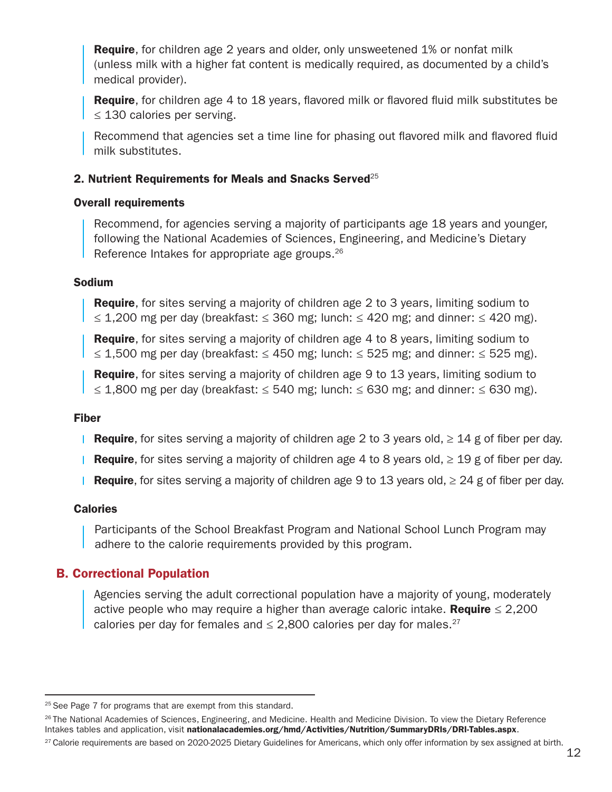**Require**, for children age 2 years and older, only unsweetened 1% or nonfat milk (unless milk with a higher fat content is medically required, as documented by a child's medical provider).

Require, for children age 4 to 18 years, favored milk or favored fuid milk substitutes be  $\leq$  130 calories per serving.

Recommend that agencies set a time line for phasing out flavored milk and flavored fluid milk substitutes.

#### 2. Nutrient Requirements for Meals and Snacks Served<sup>25</sup>

#### Overall requirements

Recommend, for agencies serving a majority of participants age 18 years and younger, following the National Academies of Sciences, Engineering, and Medicine's Dietary Reference Intakes for appropriate age [groups.26](https://groups.26)

#### Sodium

**Require**, for sites serving a majority of children age 2 to 3 years, limiting sodium to ≤ 1,200 mg per day (breakfast: ≤ 360 mg; lunch: ≤ 420 mg; and dinner: ≤ 420 mg).

**Require**, for sites serving a majority of children age 4 to 8 years, limiting sodium to ≤ 1,500 mg per day (breakfast: ≤ 450 mg; lunch: ≤ 525 mg; and dinner: ≤ 525 mg).

**Require**, for sites serving a majority of children age 9 to 13 years, limiting sodium to ≤ 1,800 mg per day (breakfast: ≤ 540 mg; lunch: ≤ 630 mg; and dinner: ≤ 630 mg).

#### Fiber

- Require, for sites serving a majority of children age 2 to 3 years old,  $\geq 14$  g of fiber per day.
- Require, for sites serving a majority of children age 4 to 8 years old,  $\geq 19$  g of fiber per day.
- Require, for sites serving a majority of children age 9 to 13 years old,  $\geq 24$  g of fiber per day.

#### **Calories**

 Participants of the School Breakfast Program and National School Lunch Program may adhere to the calorie requirements provided by this program.

#### B. Correctional Population

Agencies serving the adult correctional population have a majority of young, moderately active people who may require a higher than average caloric intake. **Require**  $\leq 2,200$ calories per day for females and  $\leq$  2,800 calories per day for males.<sup>27</sup>

 $25$  See Page 7 for programs that are exempt from this standard.

<sup>&</sup>lt;sup>26</sup> The National Academies of Sciences, Engineering, and Medicine. Health and Medicine Division. To view the Dietary Reference Intakes tables and application, visit [nationalacademies.org/hmd/Activities/Nutrition/SummaryDRIs/DRI-Tables.aspx](http://nationalacademies.org/hmd/Activities/Nutrition/SummaryDRIs/DRI-Tables.aspx).

<sup>&</sup>lt;sup>27</sup> Calorie requirements are based on 2020-2025 Dietary Guidelines for Americans, which only offer information by sex assigned at birth.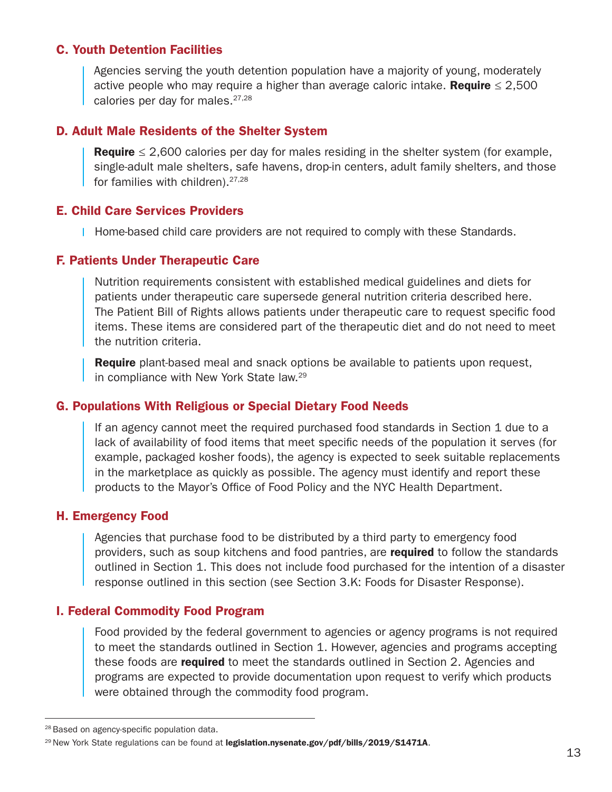#### C. Youth Detention Facilities

Agencies serving the youth detention population have a majority of young, moderately active people who may require a higher than average caloric intake. **Require**  $\leq 2,500$ calories per day for males.<sup>27,28</sup>

#### D. Adult Male Residents of the Shelter System

**Require**  $\leq$  2,600 calories per day for males residing in the shelter system (for example, single-adult male shelters, safe havens, drop-in centers, adult family shelters, and those for families with children).<sup>27,28</sup>

#### E. Child Care Services Providers

Home-based child care providers are not required to comply with these Standards.

#### F. Patients Under Therapeutic Care

Nutrition requirements consistent with established medical guidelines and diets for patients under therapeutic care supersede general nutrition criteria described here. The Patient Bill of Rights allows patients under therapeutic care to request specifc food items. These items are considered part of the therapeutic diet and do not need to meet the nutrition criteria.

Require plant-based meal and snack options be available to patients upon request, in compliance with New York State law.29

#### G. Populations With Religious or Special Dietary Food Needs

If an agency cannot meet the required purchased food standards in Section 1 due to a lack of availability of food items that meet specifc needs of the population it serves (for example, packaged kosher foods), the agency is expected to seek suitable replacements in the marketplace as quickly as possible. The agency must identify and report these products to the Mayor's Office of Food Policy and the NYC Health Department.

#### H. Emergency Food

Agencies that purchase food to be distributed by a third party to emergency food providers, such as soup kitchens and food pantries, are required to follow the standards outlined in Section 1. This does not include food purchased for the intention of a disaster response outlined in this section (see Section 3.K: Foods for Disaster Response).

#### I. Federal Commodity Food Program

Food provided by the federal government to agencies or agency programs is not required to meet the standards outlined in Section 1. However, agencies and programs accepting these foods are **required** to meet the standards outlined in Section 2. Agencies and programs are expected to provide documentation upon request to verify which products were obtained through the commodity food program.

<sup>&</sup>lt;sup>28</sup> Based on agency-specific population data.

<sup>&</sup>lt;sup>29</sup> New York State regulations can be found at [legislation.nysenate.gov/pdf/bills/2019/S1471A](http://legislation.nysenate.gov/pdf/bills/2019/S1471A).